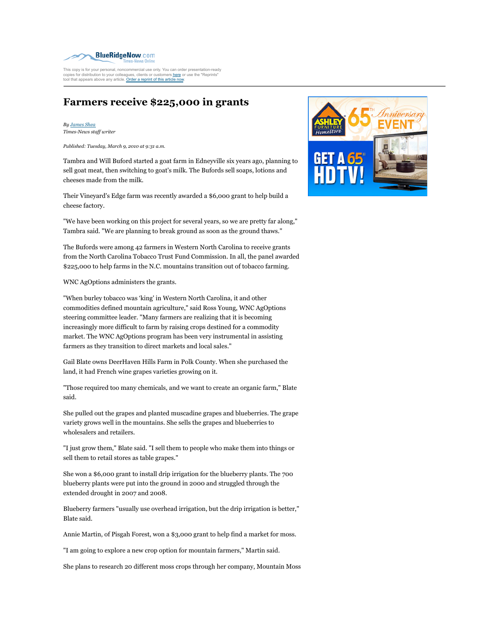

This copy is for your personal, noncommercial use only. You can order presentation-ready<br>copies for distribution to your colleagues, clients or customers <u>here</u> or use the "Reprints" tool that appears above any article. Order a reprint of this article now.

## **Farmers receive \$225,000 in grants**

*By James Shea Times-News staff writer*

*Published: Tuesday, March 9, 2010 at 9:31 a.m.*

Tambra and Will Buford started a goat farm in Edneyville six years ago, planning to sell goat meat, then switching to goat's milk. The Bufords sell soaps, lotions and cheeses made from the milk.

Their Vineyard's Edge farm was recently awarded a \$6,000 grant to help build a cheese factory.

"We have been working on this project for several years, so we are pretty far along," Tambra said. "We are planning to break ground as soon as the ground thaws."

The Bufords were among 42 farmers in Western North Carolina to receive grants from the North Carolina Tobacco Trust Fund Commission. In all, the panel awarded \$225,000 to help farms in the N.C. mountains transition out of tobacco farming.

WNC AgOptions administers the grants.

"When burley tobacco was 'king' in Western North Carolina, it and other commodities defined mountain agriculture," said Ross Young, WNC AgOptions steering committee leader. "Many farmers are realizing that it is becoming increasingly more difficult to farm by raising crops destined for a commodity market. The WNC AgOptions program has been very instrumental in assisting farmers as they transition to direct markets and local sales."

Gail Blate owns DeerHaven Hills Farm in Polk County. When she purchased the land, it had French wine grapes varieties growing on it.

"Those required too many chemicals, and we want to create an organic farm," Blate said.

She pulled out the grapes and planted muscadine grapes and blueberries. The grape variety grows well in the mountains. She sells the grapes and blueberries to wholesalers and retailers.

"I just grow them," Blate said. "I sell them to people who make them into things or sell them to retail stores as table grapes."

She won a \$6,000 grant to install drip irrigation for the blueberry plants. The 700 blueberry plants were put into the ground in 2000 and struggled through the extended drought in 2007 and 2008.

Blueberry farmers "usually use overhead irrigation, but the drip irrigation is better," Blate said.

Annie Martin, of Pisgah Forest, won a \$3,000 grant to help find a market for moss.

"I am going to explore a new crop option for mountain farmers," Martin said.

She plans to research 20 different moss crops through her company, Mountain Moss